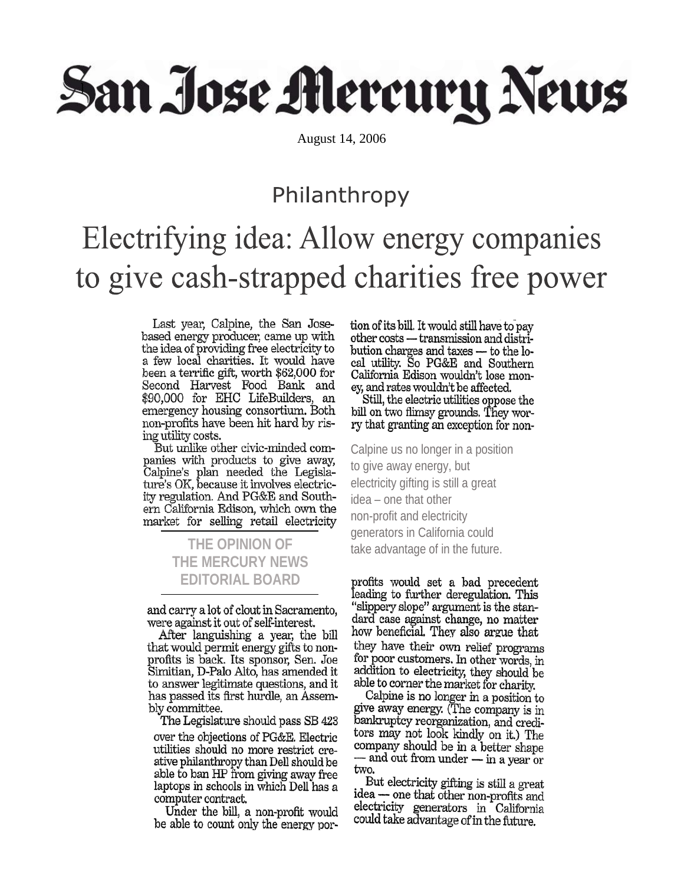# San Jose Mercuru News

August 14, 2006

### Philanthropy

## Electrifying idea: Allow energy companies to give cash-strapped charities free power

Last year, Calpine, the San Josebased energy producer, came up with the idea of providing free electricity to a few local charities. It would have been a terrific gift, worth \$62,000 for Second Harvest Food Bank and \$90,000 for EHC LifeBuilders, an emergency housing consortium. Both non-profits have been hit hard by rising utility costs.

But unlike other civic-minded companies with products to give away, Calpine's plan needed the Legisla-<br>ture's OK, because it involves electricity regulation. And PG&E and Southern California Edison, which own the market for selling retail electricity

#### THE OPINION OF THE MERCURY NEWS **EDITORIAL BOARD**

and carry a lot of clout in Sacramento. were against it out of self-interest.

After languishing a year, the bill that would permit energy gifts to nonprofits is back. Its sponsor, Sen. Joe Simitian, D-Palo Alto, has amended it to answer legitimate questions, and it has passed its first hurdle, an Assembly committee.

The Legislature should pass SB 423

over the objections of PG&E. Electric utilities should no more restrict creative philanthropy than Dell should be able to ban HP from giving away free laptops in schools in which Dell has a computer contract.

Under the bill, a non-profit would be able to count only the energy portion of its bill. It would still have to pay other costs - transmission and distribution charges and taxes - to the local utility. So PG&E and Southern California Edison wouldn't lose money, and rates wouldn't be affected.

Still, the electric utilities oppose the bill on two flimsy grounds. They worry that granting an exception for non-

Calpine us no longer in a position to give away energy, but electricity gifting is still a great idea – one that other non-profit and electricity generators in California could take advantage of in the future.

profits would set a bad precedent leading to further deregulation. This "slippery slope" argument is the standard case against change, no matter how beneficial. They also argue that they have their own relief programs for poor customers. In other words, in addition to electricity, they should be able to corner the market for charity.

Calpine is no longer in a position to give away energy. (The company is in bankruptcy reorganization, and creditors may not look kindly on it.) The company should be in a better shape  $-$  and out from under  $-$  in a year or two.

But electricity gifting is still a great idea — one that other non-profits and electricity generators in California could take advantage of in the future.